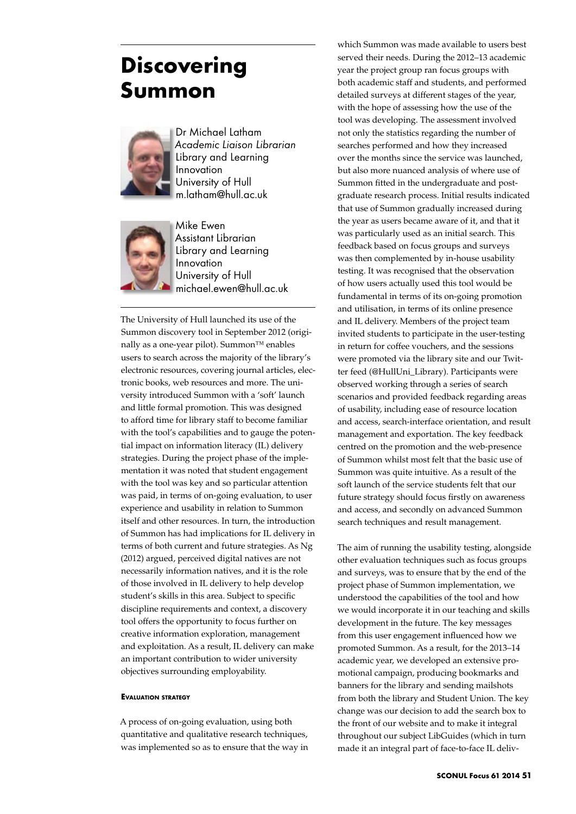## **Discovering Summon**



Dr Michael Latham *Academic Liaison Librarian* Library and Learning Innovation University of Hull m.latham@hull.ac.uk



Mike Ewen Assistant Librarian Library and Learning Innovation University of Hull michael.ewen@hull.ac.uk

The University of Hull launched its use of the Summon discovery tool in September 2012 (originally as a one-year pilot). Summon™ enables users to search across the majority of the library's electronic resources, covering journal articles, electronic books, web resources and more. The university introduced Summon with a 'soft' launch and little formal promotion. This was designed to afford time for library staff to become familiar with the tool's capabilities and to gauge the potential impact on information literacy (IL) delivery strategies. During the project phase of the implementation it was noted that student engagement with the tool was key and so particular attention was paid, in terms of on-going evaluation, to user experience and usability in relation to Summon itself and other resources. In turn, the introduction of Summon has had implications for IL delivery in terms of both current and future strategies. As Ng (2012) argued, perceived digital natives are not necessarily information natives, and it is the role of those involved in IL delivery to help develop student's skills in this area. Subject to specific discipline requirements and context, a discovery tool offers the opportunity to focus further on creative information exploration, management and exploitation. As a result, IL delivery can make an important contribution to wider university objectives surrounding employability.

## **Evaluation strategy**

A process of on-going evaluation, using both quantitative and qualitative research techniques, was implemented so as to ensure that the way in which Summon was made available to users best served their needs. During the 2012–13 academic year the project group ran focus groups with both academic staff and students, and performed detailed surveys at different stages of the year, with the hope of assessing how the use of the tool was developing. The assessment involved not only the statistics regarding the number of searches performed and how they increased over the months since the service was launched, but also more nuanced analysis of where use of Summon fitted in the undergraduate and postgraduate research process. Initial results indicated that use of Summon gradually increased during the year as users became aware of it, and that it was particularly used as an initial search. This feedback based on focus groups and surveys was then complemented by in-house usability testing. It was recognised that the observation of how users actually used this tool would be fundamental in terms of its on-going promotion and utilisation, in terms of its online presence and IL delivery. Members of the project team invited students to participate in the user-testing in return for coffee vouchers, and the sessions were promoted via the library site and our Twitter feed (@HullUni\_Library). Participants were observed working through a series of search scenarios and provided feedback regarding areas of usability, including ease of resource location and access, search-interface orientation, and result management and exportation. The key feedback centred on the promotion and the web-presence of Summon whilst most felt that the basic use of Summon was quite intuitive. As a result of the soft launch of the service students felt that our future strategy should focus firstly on awareness and access, and secondly on advanced Summon search techniques and result management.

The aim of running the usability testing, alongside other evaluation techniques such as focus groups and surveys, was to ensure that by the end of the project phase of Summon implementation, we understood the capabilities of the tool and how we would incorporate it in our teaching and skills development in the future. The key messages from this user engagement influenced how we promoted Summon. As a result, for the 2013–14 academic year, we developed an extensive promotional campaign, producing bookmarks and banners for the library and sending mailshots from both the library and Student Union. The key change was our decision to add the search box to the front of our website and to make it integral throughout our subject LibGuides (which in turn made it an integral part of face-to-face IL deliv